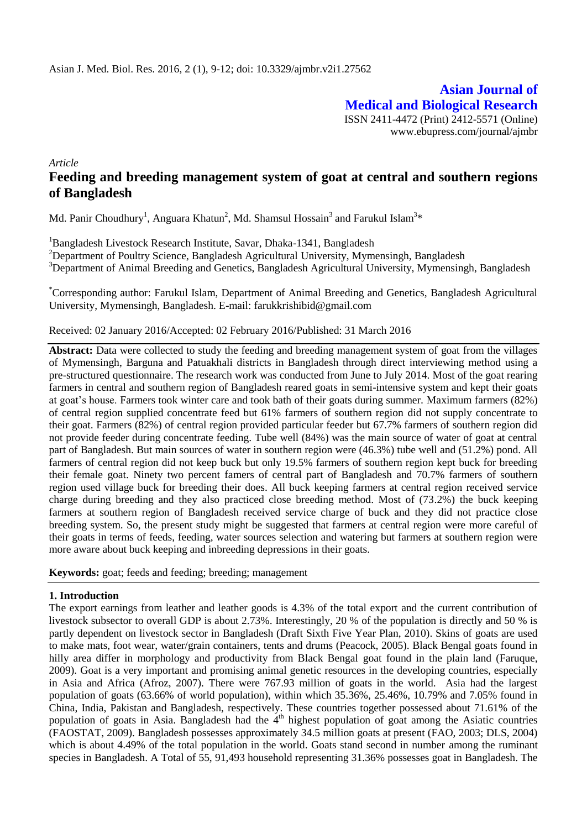**Asian Journal of Medical and Biological Research** ISSN 2411-4472 (Print) 2412-5571 (Online) www.ebupress.com/journal/ajmbr

*Article*

# **Feeding and breeding management system of goat at central and southern regions of Bangladesh**

Md. Panir Choudhury<sup>1</sup>, Anguara Khatun<sup>2</sup>, Md. Shamsul Hossain<sup>3</sup> and Farukul Islam<sup>3</sup>\*

<sup>1</sup>Bangladesh Livestock Research Institute, Savar, Dhaka-1341, Bangladesh <sup>2</sup>Department of Poultry Science, Bangladesh Agricultural University, Mymensingh, Bangladesh <sup>3</sup>Department of Animal Breeding and Genetics, Bangladesh Agricultural University, Mymensingh, Bangladesh

\*Corresponding author: Farukul Islam, Department of Animal Breeding and Genetics, Bangladesh Agricultural University, Mymensingh, Bangladesh. E-mail: farukkrishibid@gmail.com

## Received: 02 January 2016/Accepted: 02 February 2016/Published: 31 March 2016

**Abstract:** Data were collected to study the feeding and breeding management system of goat from the villages of Mymensingh, Barguna and Patuakhali districts in Bangladesh through direct interviewing method using a pre-structured questionnaire. The research work was conducted from June to July 2014. Most of the goat rearing farmers in central and southern region of Bangladesh reared goats in semi-intensive system and kept their goats at goat's house. Farmers took winter care and took bath of their goats during summer. Maximum farmers (82%) of central region supplied concentrate feed but 61% farmers of southern region did not supply concentrate to their goat. Farmers (82%) of central region provided particular feeder but 67.7% farmers of southern region did not provide feeder during concentrate feeding. Tube well (84%) was the main source of water of goat at central part of Bangladesh. But main sources of water in southern region were (46.3%) tube well and (51.2%) pond. All farmers of central region did not keep buck but only 19.5% farmers of southern region kept buck for breeding their female goat. Ninety two percent famers of central part of Bangladesh and 70.7% farmers of southern region used village buck for breeding their does. All buck keeping farmers at central region received service charge during breeding and they also practiced close breeding method. Most of (73.2%) the buck keeping farmers at southern region of Bangladesh received service charge of buck and they did not practice close breeding system. So, the present study might be suggested that farmers at central region were more careful of their goats in terms of feeds, feeding, water sources selection and watering but farmers at southern region were more aware about buck keeping and inbreeding depressions in their goats.

**Keywords:** goat; feeds and feeding; breeding; management

## **1. Introduction**

The export earnings from leather and leather goods is 4.3% of the total export and the current contribution of livestock subsector to overall GDP is about 2.73%. Interestingly, 20 % of the population is directly and 50 % is partly dependent on livestock sector in Bangladesh (Draft Sixth Five Year Plan, 2010). Skins of goats are used to make mats, foot wear, water/grain containers, tents and drums (Peacock, 2005). Black Bengal goats found in hilly area differ in morphology and productivity from Black Bengal goat found in the plain land (Faruque, 2009). Goat is a very important and promising animal genetic resources in the developing countries, especially in Asia and Africa (Afroz, 2007). There were 767.93 million of goats in the world. Asia had the largest population of goats (63.66% of world population), within which 35.36%, 25.46%, 10.79% and 7.05% found in China, India, Pakistan and Bangladesh, respectively. These countries together possessed about 71.61% of the population of goats in Asia. Bangladesh had the  $4<sup>th</sup>$  highest population of goat among the Asiatic countries (FAOSTAT, 2009). Bangladesh possesses approximately 34.5 million goats at present (FAO, 2003; DLS, 2004) which is about 4.49% of the total population in the world. Goats stand second in number among the ruminant species in Bangladesh. A Total of 55, 91,493 household representing 31.36% possesses goat in Bangladesh. The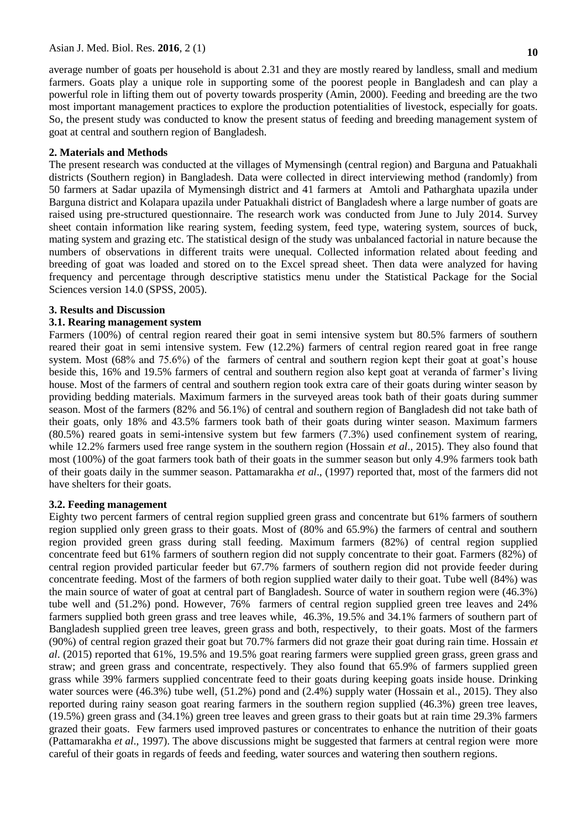#### Asian J. Med. Biol. Res. **2016**, 2 (1)

average number of goats per household is about 2.31 and they are mostly reared by landless, small and medium farmers. Goats play a unique role in supporting some of the poorest people in Bangladesh and can play a powerful role in lifting them out of poverty towards prosperity (Amin, 2000). Feeding and breeding are the two most important management practices to explore the production potentialities of livestock, especially for goats. So, the present study was conducted to know the present status of feeding and breeding management system of goat at central and southern region of Bangladesh.

#### **2. Materials and Methods**

The present research was conducted at the villages of Mymensingh (central region) and Barguna and Patuakhali districts (Southern region) in Bangladesh. Data were collected in direct interviewing method (randomly) from 50 farmers at Sadar upazila of Mymensingh district and 41 farmers at Amtoli and Patharghata upazila under Barguna district and Kolapara upazila under Patuakhali district of Bangladesh where a large number of goats are raised using pre-structured questionnaire. The research work was conducted from June to July 2014. Survey sheet contain information like rearing system, feeding system, feed type, watering system, sources of buck, mating system and grazing etc. The statistical design of the study was unbalanced factorial in nature because the numbers of observations in different traits were unequal. Collected information related about feeding and breeding of goat was loaded and stored on to the Excel spread sheet. Then data were analyzed for having frequency and percentage through descriptive statistics menu under the Statistical Package for the Social Sciences version 14.0 (SPSS, 2005).

#### **3. Results and Discussion**

#### **3.1. Rearing management system**

Farmers (100%) of central region reared their goat in semi intensive system but 80.5% farmers of southern reared their goat in semi intensive system. Few (12.2%) farmers of central region reared goat in free range system. Most (68% and 75.6%) of the farmers of central and southern region kept their goat at goat's house beside this, 16% and 19.5% farmers of central and southern region also kept goat at veranda of farmer's living house. Most of the farmers of central and southern region took extra care of their goats during winter season by providing bedding materials. Maximum farmers in the surveyed areas took bath of their goats during summer season. Most of the farmers (82% and 56.1%) of central and southern region of Bangladesh did not take bath of their goats, only 18% and 43.5% farmers took bath of their goats during winter season. Maximum farmers (80.5%) reared goats in semi-intensive system but few farmers (7.3%) used confinement system of rearing, while 12.2% farmers used free range system in the southern region (Hossain *et al*., 2015). They also found that most (100%) of the goat farmers took bath of their goats in the summer season but only 4.9% farmers took bath of their goats daily in the summer season. Pattamarakha *et al*., (1997) reported that, most of the farmers did not have shelters for their goats.

#### **3.2. Feeding management**

Eighty two percent farmers of central region supplied green grass and concentrate but 61% farmers of southern region supplied only green grass to their goats. Most of (80% and 65.9%) the farmers of central and southern region provided green grass during stall feeding. Maximum farmers (82%) of central region supplied concentrate feed but 61% farmers of southern region did not supply concentrate to their goat. Farmers (82%) of central region provided particular feeder but 67.7% farmers of southern region did not provide feeder during concentrate feeding. Most of the farmers of both region supplied water daily to their goat. Tube well (84%) was the main source of water of goat at central part of Bangladesh. Source of water in southern region were (46.3%) tube well and (51.2%) pond. However, 76% farmers of central region supplied green tree leaves and 24% farmers supplied both green grass and tree leaves while, 46.3%, 19.5% and 34.1% farmers of southern part of Bangladesh supplied green tree leaves, green grass and both, respectively, to their goats. Most of the farmers (90%) of central region grazed their goat but 70.7% farmers did not graze their goat during rain time. Hossain *et al*. (2015) reported that 61%, 19.5% and 19.5% goat rearing farmers were supplied green grass, green grass and straw; and green grass and concentrate, respectively. They also found that 65.9% of farmers supplied green grass while 39% farmers supplied concentrate feed to their goats during keeping goats inside house. Drinking water sources were (46.3%) tube well, (51.2%) pond and (2.4%) supply water (Hossain et al., 2015). They also reported during rainy season goat rearing farmers in the southern region supplied (46.3%) green tree leaves, (19.5%) green grass and (34.1%) green tree leaves and green grass to their goats but at rain time 29.3% farmers grazed their goats. Few farmers used improved pastures or concentrates to enhance the nutrition of their goats (Pattamarakha *et al*., 1997). The above discussions might be suggested that farmers at central region were more careful of their goats in regards of feeds and feeding, water sources and watering then southern regions.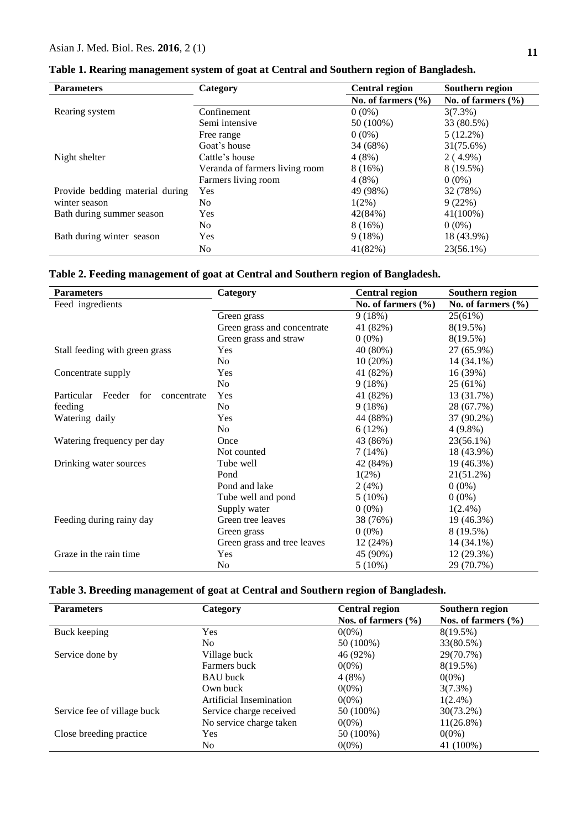| <b>Parameters</b>               | Category                       | <b>Central region</b>  | Southern region        |
|---------------------------------|--------------------------------|------------------------|------------------------|
|                                 |                                | No. of farmers $(\% )$ | No. of farmers $(\% )$ |
| Rearing system                  | Confinement                    | $0(0\%)$               | $3(7.3\%)$             |
|                                 | Semi intensive                 | 50 (100%)              | 33 (80.5%)             |
|                                 | Free range                     | $0(0\%)$               | $5(12.2\%)$            |
|                                 | Goat's house                   | 34 (68%)               | 31(75.6%)              |
| Night shelter                   | Cattle's house                 | 4(8%)                  | $2(4.9\%)$             |
|                                 | Veranda of farmers living room | 8(16%)                 | 8 (19.5%)              |
|                                 | Farmers living room            | 4(8%)                  | $0(0\%)$               |
| Provide bedding material during | Yes                            | 49 (98%)               | 32 (78%)               |
| winter season                   | No.                            | $1(2\%)$               | 9(22%)                 |
| Bath during summer season       | <b>Yes</b>                     | 42(84%)                | 41(100%)               |
|                                 | No.                            | 8(16%)                 | $0(0\%)$               |
| Bath during winter season       | <b>Yes</b>                     | 9(18%)                 | 18 (43.9%)             |
|                                 | No                             | 41(82%)                | 23(56.1%)              |

| Table 1. Rearing management system of goat at Central and Southern region of Bangladesh. |  |  |  |  |
|------------------------------------------------------------------------------------------|--|--|--|--|
|                                                                                          |  |  |  |  |

## **Table 2. Feeding management of goat at Central and Southern region of Bangladesh.**

| <b>Parameters</b>                          | Category                    | <b>Central region</b> | Southern region      |  |
|--------------------------------------------|-----------------------------|-----------------------|----------------------|--|
| Feed ingredients                           |                             | No. of farmers $(\%$  | No. of farmers $(\%$ |  |
|                                            | Green grass                 | 9(18%)                | 25(61%)              |  |
|                                            | Green grass and concentrate | 41 (82%)              | $8(19.5\%)$          |  |
|                                            | Green grass and straw       | $0(0\%)$              | 8(19.5%)             |  |
| Stall feeding with green grass             | Yes                         | 40 (80%)              | 27 (65.9%)           |  |
|                                            | N <sub>0</sub>              | 10(20%)               | 14 (34.1%)           |  |
| Concentrate supply                         | Yes                         | 41 (82%)              | 16 (39%)             |  |
|                                            | N <sub>o</sub>              | 9(18%)                | 25 (61%)             |  |
| Particular<br>Feeder<br>for<br>concentrate | Yes                         | 41 (82%)              | 13 (31.7%)           |  |
| feeding                                    | N <sub>0</sub>              | 9(18%)                | 28 (67.7%)           |  |
| Watering daily                             | Yes                         | 44 (88%)              | 37 (90.2%)           |  |
|                                            | N <sub>0</sub>              | 6(12%)                | $4(9.8\%)$           |  |
| Watering frequency per day                 | Once                        | 43 (86%)              | $23(56.1\%)$         |  |
|                                            | Not counted                 | 7(14%)                | 18 (43.9%)           |  |
| Drinking water sources                     | Tube well                   | 42 (84%)              | 19 (46.3%)           |  |
|                                            | Pond                        | $1(2\%)$              | 21(51.2%)            |  |
|                                            | Pond and lake               | 2(4%)                 | $0(0\%)$             |  |
|                                            | Tube well and pond          | $5(10\%)$             | $0(0\%)$             |  |
|                                            | Supply water                | $0(0\%)$              | $1(2.4\%)$           |  |
| Feeding during rainy day                   | Green tree leaves           | 38 (76%)              | 19 (46.3%)           |  |
|                                            | Green grass                 | $0(0\%)$              | 8 (19.5%)            |  |
|                                            | Green grass and tree leaves | 12(24%)               | 14 (34.1%)           |  |
| Graze in the rain time.                    | Yes                         | 45 (90%)              | 12 (29.3%)           |  |
|                                            | N <sub>0</sub>              | $5(10\%)$             | 29 (70.7%)           |  |

| Table 3. Breeding management of goat at Central and Southern region of Bangladesh. |  |  |
|------------------------------------------------------------------------------------|--|--|
|                                                                                    |  |  |

| <b>Parameters</b>           | Category                | <b>Central region</b>   | Southern region         |
|-----------------------------|-------------------------|-------------------------|-------------------------|
|                             |                         | Nos. of farmers $(\% )$ | Nos. of farmers $(\% )$ |
| Buck keeping                | <b>Yes</b>              | $0(0\%)$                | 8(19.5%)                |
|                             | No.                     | 50 (100%)               | 33(80.5%)               |
| Service done by             | Village buck            | 46 (92%)                | 29(70.7%)               |
|                             | Farmers buck            | $0(0\%)$                | $8(19.5\%)$             |
|                             | <b>BAU</b> buck         | 4(8%)                   | $0(0\%)$                |
|                             | Own buck                | $0(0\%)$                | $3(7.3\%)$              |
|                             | Artificial Insemination | $0(0\%)$                | $1(2.4\%)$              |
| Service fee of village buck | Service charge received | $50(100\%)$             | 30(73.2%)               |
|                             | No service charge taken | $0(0\%)$                | $11(26.8\%)$            |
| Close breeding practice     | <b>Yes</b>              | 50 (100%)               | $0(0\%)$                |
|                             | No.                     | $0(0\%)$                | 41 (100%)               |